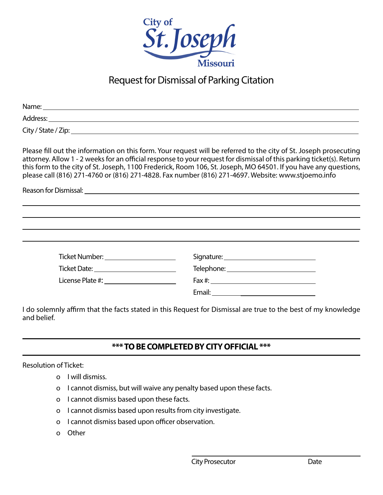

## Request for Dismissal of Parking Citation

|                                             | Please fill out the information on this form. Your request will be referred to the city of St. Joseph prosecuting<br>attorney. Allow 1 - 2 weeks for an official response to your request for dismissal of this parking ticket(s). Return<br>this form to the city of St. Joseph, 1100 Frederick, Room 106, St. Joseph, MO 64501. If you have any questions,<br>please call (816) 271-4760 or (816) 271-4828. Fax number (816) 271-4697. Website: www.stjoemo.info |
|---------------------------------------------|--------------------------------------------------------------------------------------------------------------------------------------------------------------------------------------------------------------------------------------------------------------------------------------------------------------------------------------------------------------------------------------------------------------------------------------------------------------------|
|                                             |                                                                                                                                                                                                                                                                                                                                                                                                                                                                    |
|                                             |                                                                                                                                                                                                                                                                                                                                                                                                                                                                    |
|                                             |                                                                                                                                                                                                                                                                                                                                                                                                                                                                    |
|                                             |                                                                                                                                                                                                                                                                                                                                                                                                                                                                    |
| Ticket Number: ______________________       | Signature: _______________________________                                                                                                                                                                                                                                                                                                                                                                                                                         |
| Ticket Date: _____________________________  |                                                                                                                                                                                                                                                                                                                                                                                                                                                                    |
| License Plate #: __________________________ | $Fax \#: ____________$                                                                                                                                                                                                                                                                                                                                                                                                                                             |
|                                             |                                                                                                                                                                                                                                                                                                                                                                                                                                                                    |
|                                             |                                                                                                                                                                                                                                                                                                                                                                                                                                                                    |

I do solemnly affirm that the facts stated in this Request for Dismissal are true to the best of my knowledge and belief.

## **\*\*\* TO BE COMPLETED BY CITY OFFICIAL \*\*\***

## Resolution of Ticket:

- o I will dismiss.
- o I cannot dismiss, but will waive any penalty based upon these facts.
- o I cannot dismiss based upon these facts.
- o I cannot dismiss based upon results from city investigate.
- o I cannot dismiss based upon officer observation.
- o Other